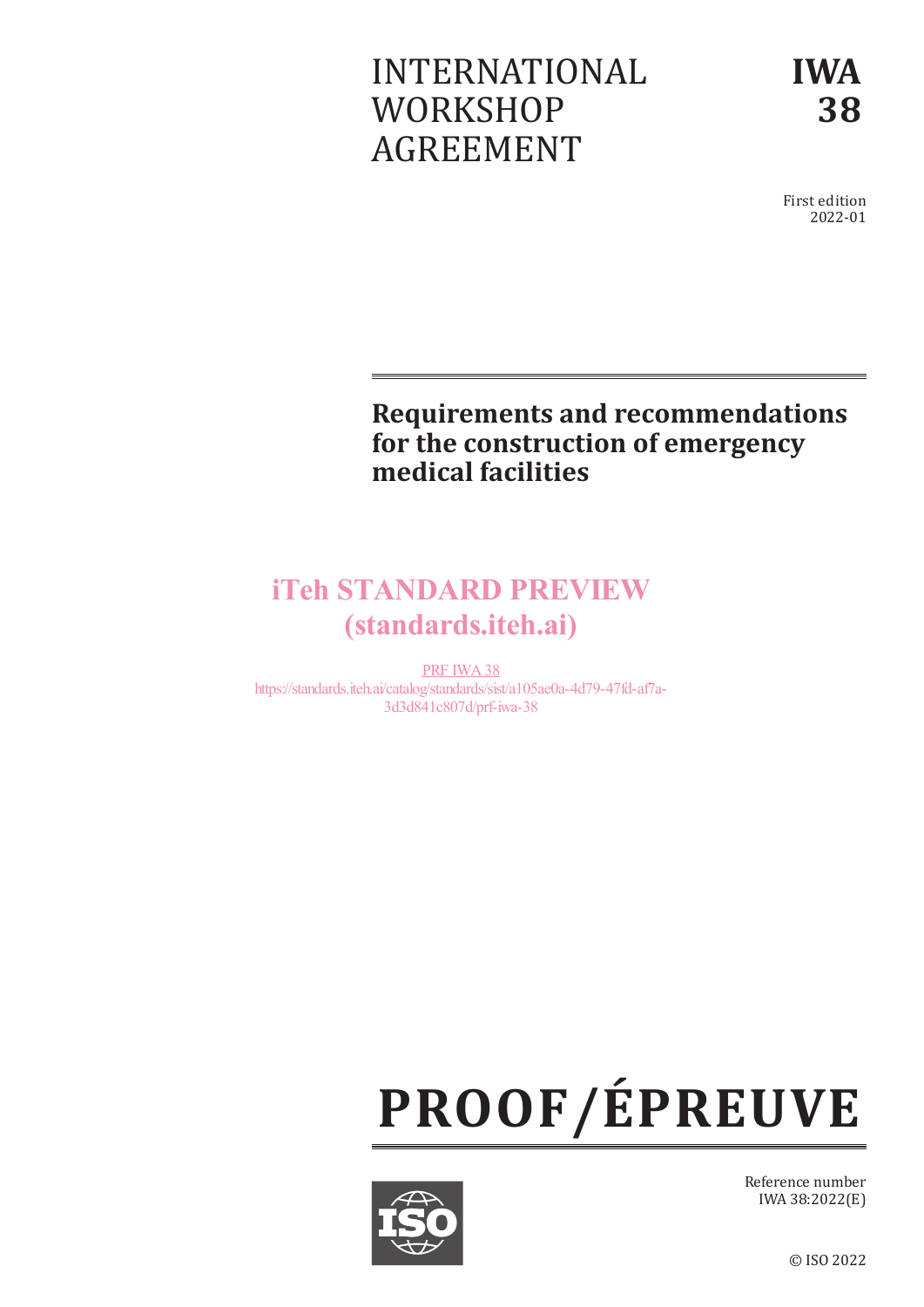# INTERNATIONAL **WORKSHOP** AGREEMENT

**IWA 38**

First edition 2022-01

# **Requirements and recommendations for the construction of emergency medical facilities**

# iTeh STANDARD PREVIEW (standards.iteh.ai)

PRF IWA38 https://standards.iteh.ai/catalog/standards/sist/a105ae0a-4d79-47fd-af7a-3d3d841c807d/prf-iwa-38





Reference number IWA 38:2022(E)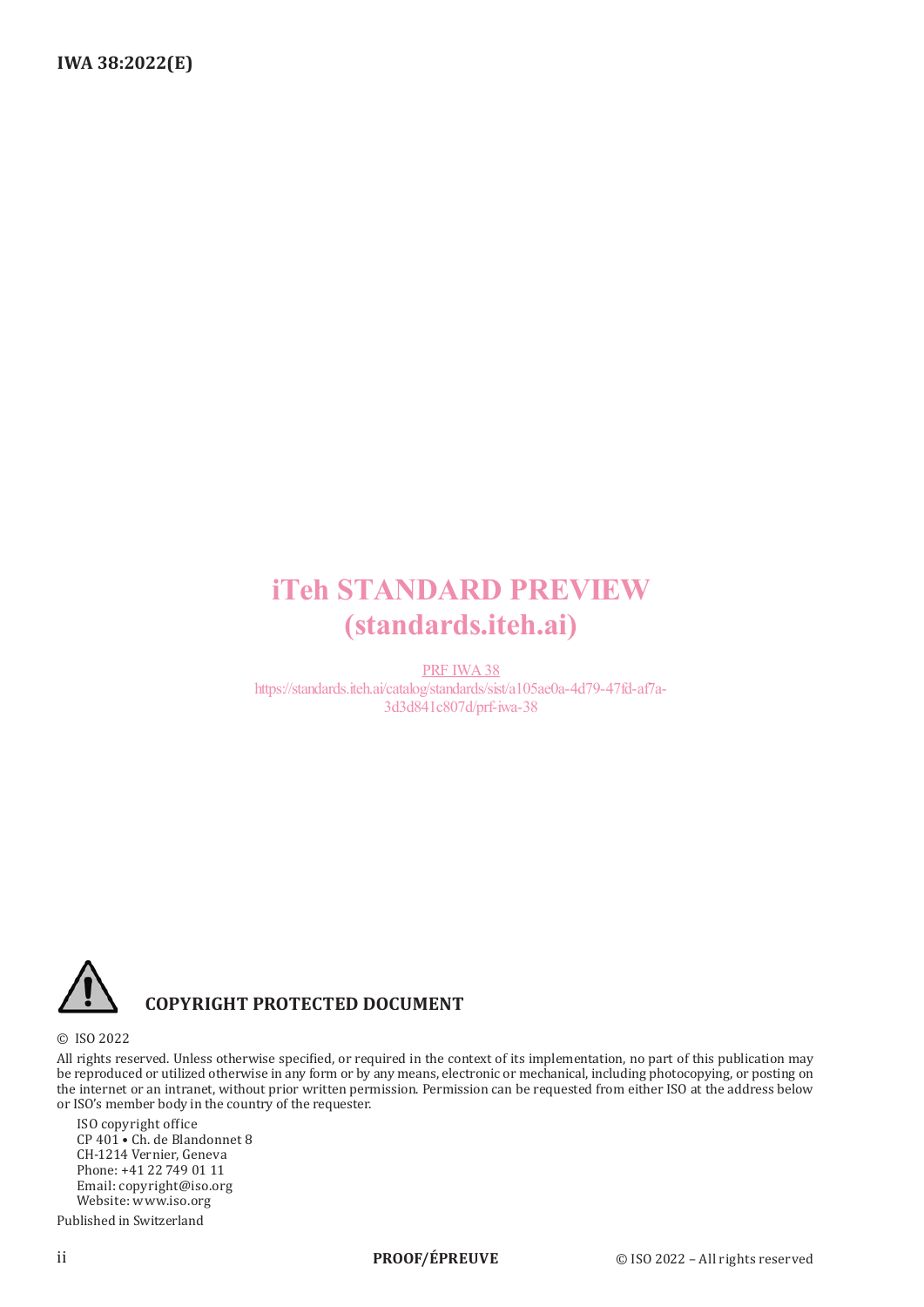# iTeh STANDARD PREVIEW (standards.iteh.ai)

PRF IWA38 https://standards.iteh.ai/catalog/standards/sist/a105ae0a-4d79-47fd-af7a-3d3d841c807d/prf-iwa-38



# **COPYRIGHT PROTECTED DOCUMENT**

© ISO 2022

All rights reserved. Unless otherwise specified, or required in the context of its implementation, no part of this publication may be reproduced or utilized otherwise in any form or by any means, electronic or mechanical, including photocopying, or posting on the internet or an intranet, without prior written permission. Permission can be requested from either ISO at the address below or ISO's member body in the country of the requester.

ISO copyright office CP 401 • Ch. de Blandonnet 8 CH-1214 Vernier, Geneva Phone: +41 22 749 01 11 Email: copyright@iso.org Website: www.iso.org

Published in Switzerland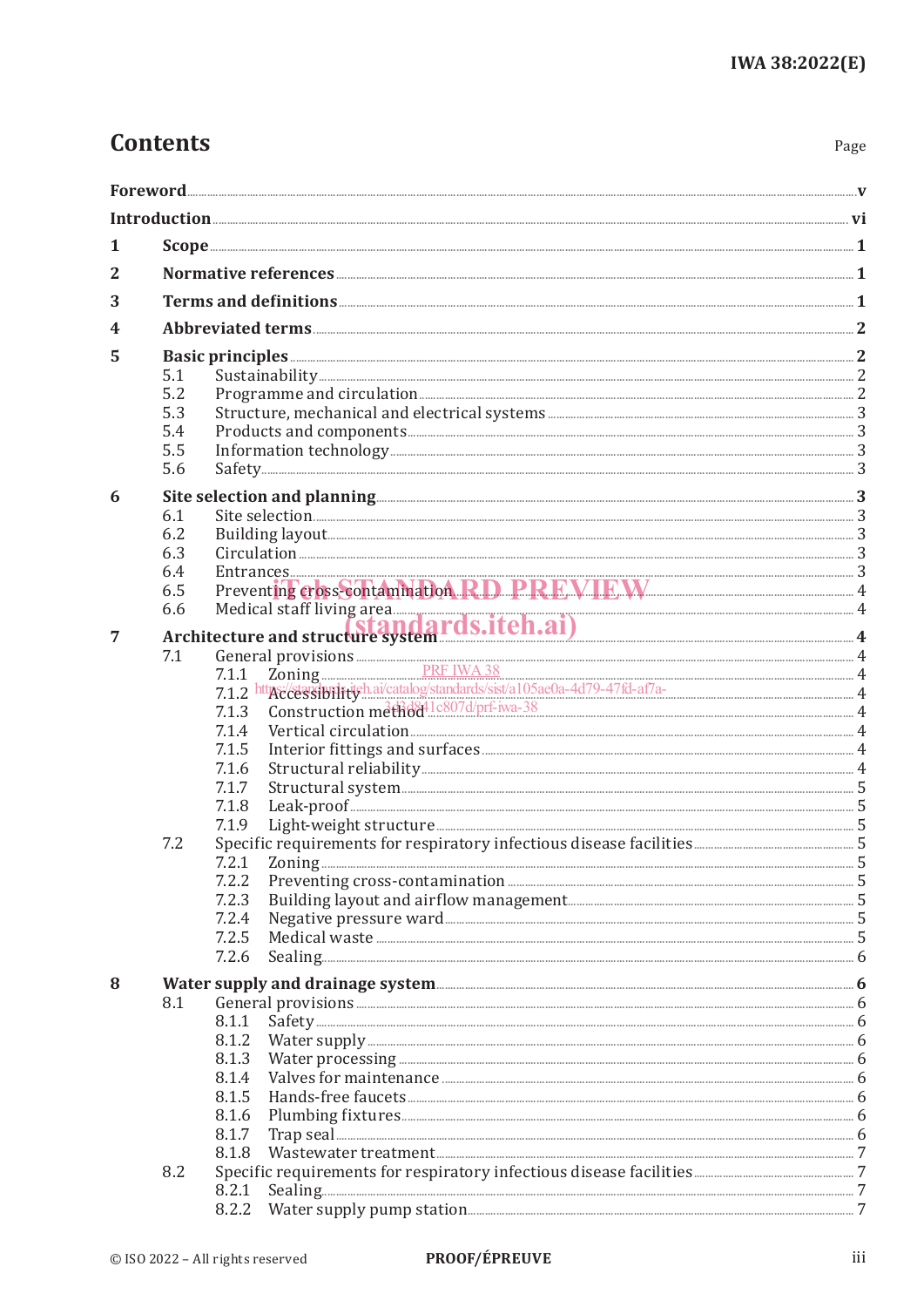# **Contents**

| . .<br>×<br>۰,<br>× |
|---------------------|
|---------------------|

| 1 |     |                                                                                                                                                                                                                                     |  |  |  |  |  |
|---|-----|-------------------------------------------------------------------------------------------------------------------------------------------------------------------------------------------------------------------------------------|--|--|--|--|--|
| 2 |     |                                                                                                                                                                                                                                     |  |  |  |  |  |
| 3 |     |                                                                                                                                                                                                                                     |  |  |  |  |  |
| 4 |     |                                                                                                                                                                                                                                     |  |  |  |  |  |
|   |     |                                                                                                                                                                                                                                     |  |  |  |  |  |
| 5 | 5.1 |                                                                                                                                                                                                                                     |  |  |  |  |  |
|   | 5.2 |                                                                                                                                                                                                                                     |  |  |  |  |  |
|   | 5.3 |                                                                                                                                                                                                                                     |  |  |  |  |  |
|   | 5.4 |                                                                                                                                                                                                                                     |  |  |  |  |  |
|   | 5.5 |                                                                                                                                                                                                                                     |  |  |  |  |  |
|   | 5.6 |                                                                                                                                                                                                                                     |  |  |  |  |  |
| 6 |     | Site selection and planning <u>with and the selection</u> and planning and selection and planning and the selection and planning and selection and planning and selection and planning and selection and selection and planning and |  |  |  |  |  |
|   | 6.1 |                                                                                                                                                                                                                                     |  |  |  |  |  |
|   | 6.2 |                                                                                                                                                                                                                                     |  |  |  |  |  |
|   | 6.3 |                                                                                                                                                                                                                                     |  |  |  |  |  |
|   | 6.4 |                                                                                                                                                                                                                                     |  |  |  |  |  |
|   | 6.5 | Entrances 3<br>Preventing cross-contamination RD PREVIEW 4                                                                                                                                                                          |  |  |  |  |  |
|   |     |                                                                                                                                                                                                                                     |  |  |  |  |  |
|   |     |                                                                                                                                                                                                                                     |  |  |  |  |  |
| 7 |     |                                                                                                                                                                                                                                     |  |  |  |  |  |
|   | 7.1 |                                                                                                                                                                                                                                     |  |  |  |  |  |
|   |     | General provisions<br>7.1.1 Zoning<br>7.1.2 http://edisposition/catalog/standards/sist/a105ae0a-4d79-47fd-af7a-<br>4 A                                                                                                              |  |  |  |  |  |
|   |     | Construction method <sup>1</sup> lc807d/prf-iwa-38<br>7.1.3                                                                                                                                                                         |  |  |  |  |  |
|   |     | 7.1.4                                                                                                                                                                                                                               |  |  |  |  |  |
|   |     | 7.1.5                                                                                                                                                                                                                               |  |  |  |  |  |
|   |     | 7.1.6                                                                                                                                                                                                                               |  |  |  |  |  |
|   |     | 7.1.7                                                                                                                                                                                                                               |  |  |  |  |  |
|   |     | 7.1.8                                                                                                                                                                                                                               |  |  |  |  |  |
|   |     | 7.1.9                                                                                                                                                                                                                               |  |  |  |  |  |
|   | 7.2 |                                                                                                                                                                                                                                     |  |  |  |  |  |
|   |     | 7.2.1                                                                                                                                                                                                                               |  |  |  |  |  |
|   |     | 7.2.2                                                                                                                                                                                                                               |  |  |  |  |  |
|   |     | 7.2.3                                                                                                                                                                                                                               |  |  |  |  |  |
|   |     | 7.2.4                                                                                                                                                                                                                               |  |  |  |  |  |
|   |     | 7.2.5                                                                                                                                                                                                                               |  |  |  |  |  |
|   |     | 7.2.6                                                                                                                                                                                                                               |  |  |  |  |  |
| 8 |     |                                                                                                                                                                                                                                     |  |  |  |  |  |
|   | 8.1 |                                                                                                                                                                                                                                     |  |  |  |  |  |
|   |     | 8.1.1                                                                                                                                                                                                                               |  |  |  |  |  |
|   |     | 8.1.2                                                                                                                                                                                                                               |  |  |  |  |  |
|   |     | 8.1.3                                                                                                                                                                                                                               |  |  |  |  |  |
|   |     | 8.1.4                                                                                                                                                                                                                               |  |  |  |  |  |
|   |     | 8.1.5                                                                                                                                                                                                                               |  |  |  |  |  |
|   |     | 8.1.6                                                                                                                                                                                                                               |  |  |  |  |  |
|   |     | 8.1.7                                                                                                                                                                                                                               |  |  |  |  |  |
|   |     | 8.1.8                                                                                                                                                                                                                               |  |  |  |  |  |
|   | 8.2 |                                                                                                                                                                                                                                     |  |  |  |  |  |
|   |     | 8.2.1                                                                                                                                                                                                                               |  |  |  |  |  |
|   |     |                                                                                                                                                                                                                                     |  |  |  |  |  |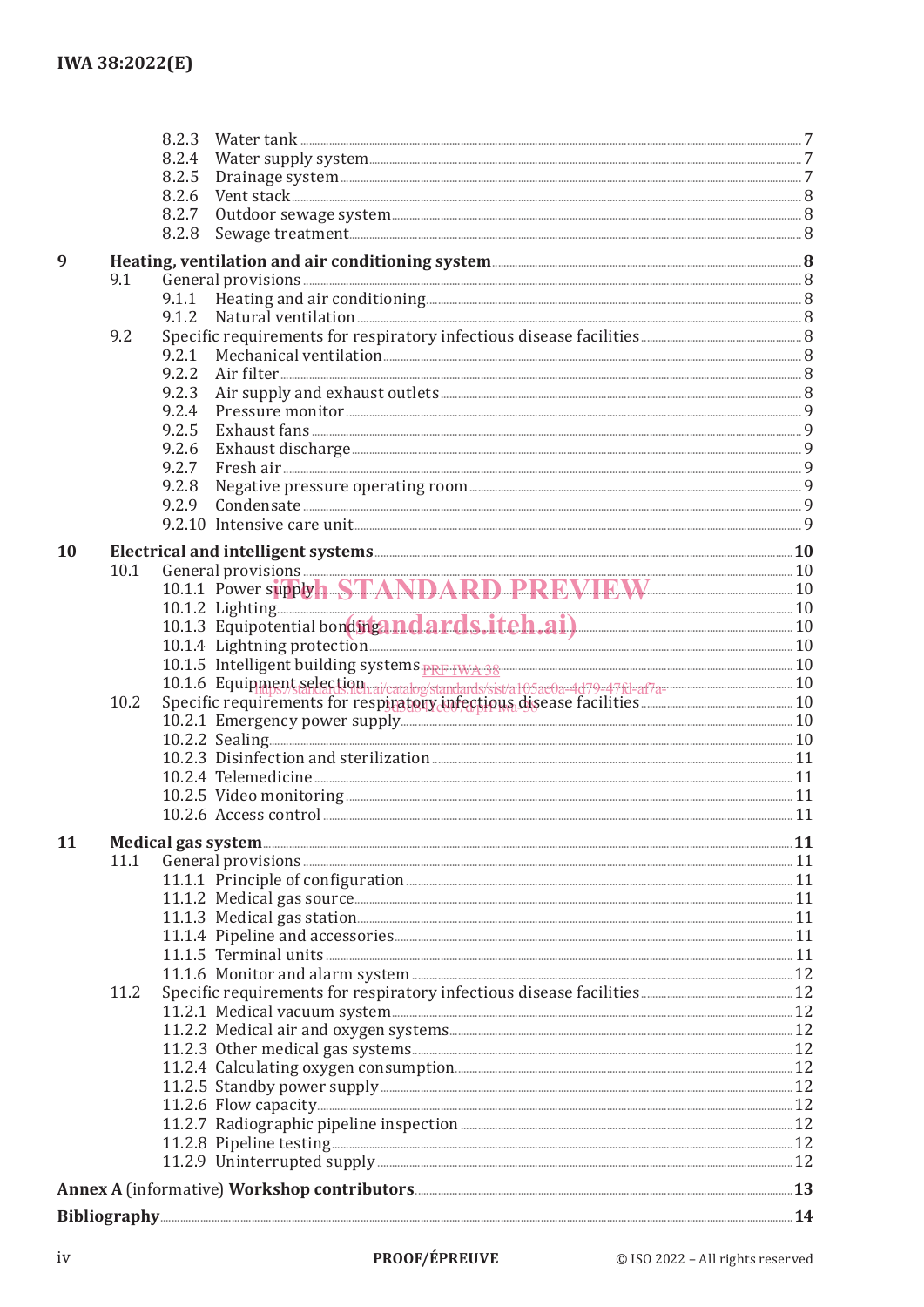|           |      | 8.2.3                                                                                                                                                                                                                         |  |
|-----------|------|-------------------------------------------------------------------------------------------------------------------------------------------------------------------------------------------------------------------------------|--|
|           |      | 8.2.4                                                                                                                                                                                                                         |  |
|           |      | 8.2.5                                                                                                                                                                                                                         |  |
|           |      | 8.2.6                                                                                                                                                                                                                         |  |
|           |      | 8.2.7                                                                                                                                                                                                                         |  |
|           |      | 8.2.8                                                                                                                                                                                                                         |  |
|           |      |                                                                                                                                                                                                                               |  |
| 9         |      | Heating, ventilation and air conditioning system <b>Exercise Conditions</b> 8                                                                                                                                                 |  |
|           | 9.1  | General provisions 38 and 30 million of the state of the state of the state of the state of the state of the state of the state of the state of the state of the state of the state of the state of the state of the state of |  |
|           |      |                                                                                                                                                                                                                               |  |
|           |      | 9.1.2                                                                                                                                                                                                                         |  |
|           | 9.2  |                                                                                                                                                                                                                               |  |
|           |      | 9.2.1                                                                                                                                                                                                                         |  |
|           |      | 9.2.2                                                                                                                                                                                                                         |  |
|           |      | 9.2.3                                                                                                                                                                                                                         |  |
|           |      | 9.2.4                                                                                                                                                                                                                         |  |
|           |      | 9.2.5                                                                                                                                                                                                                         |  |
|           |      | 9.2.6                                                                                                                                                                                                                         |  |
|           |      | 9.2.7                                                                                                                                                                                                                         |  |
|           |      | 9.2.8                                                                                                                                                                                                                         |  |
|           |      | 9.2.9                                                                                                                                                                                                                         |  |
|           |      |                                                                                                                                                                                                                               |  |
|           |      |                                                                                                                                                                                                                               |  |
| <b>10</b> |      | Electrical and intelligent systems <b>Manual Community</b> 10                                                                                                                                                                 |  |
|           | 10.1 | General provisions 10<br>10.1.1 Power supply A STANDARD PREVIEW 10                                                                                                                                                            |  |
|           |      |                                                                                                                                                                                                                               |  |
|           |      |                                                                                                                                                                                                                               |  |
|           |      |                                                                                                                                                                                                                               |  |
|           |      |                                                                                                                                                                                                                               |  |
|           |      |                                                                                                                                                                                                                               |  |
|           |      |                                                                                                                                                                                                                               |  |
|           | 10.2 |                                                                                                                                                                                                                               |  |
|           |      |                                                                                                                                                                                                                               |  |
|           |      |                                                                                                                                                                                                                               |  |
|           |      |                                                                                                                                                                                                                               |  |
|           |      |                                                                                                                                                                                                                               |  |
|           |      |                                                                                                                                                                                                                               |  |
|           |      |                                                                                                                                                                                                                               |  |
| 11        |      |                                                                                                                                                                                                                               |  |
|           | 11.1 |                                                                                                                                                                                                                               |  |
|           |      |                                                                                                                                                                                                                               |  |
|           |      |                                                                                                                                                                                                                               |  |
|           |      |                                                                                                                                                                                                                               |  |
|           |      |                                                                                                                                                                                                                               |  |
|           |      |                                                                                                                                                                                                                               |  |
|           |      |                                                                                                                                                                                                                               |  |
|           |      |                                                                                                                                                                                                                               |  |
|           | 11.2 |                                                                                                                                                                                                                               |  |
|           |      |                                                                                                                                                                                                                               |  |
|           |      |                                                                                                                                                                                                                               |  |
|           |      |                                                                                                                                                                                                                               |  |
|           |      |                                                                                                                                                                                                                               |  |
|           |      |                                                                                                                                                                                                                               |  |
|           |      | 11.2.6 Flow capacity 32                                                                                                                                                                                                       |  |
|           |      |                                                                                                                                                                                                                               |  |
|           |      |                                                                                                                                                                                                                               |  |
|           |      |                                                                                                                                                                                                                               |  |
|           |      |                                                                                                                                                                                                                               |  |
|           |      |                                                                                                                                                                                                                               |  |
|           |      | Bibliography 24                                                                                                                                                                                                               |  |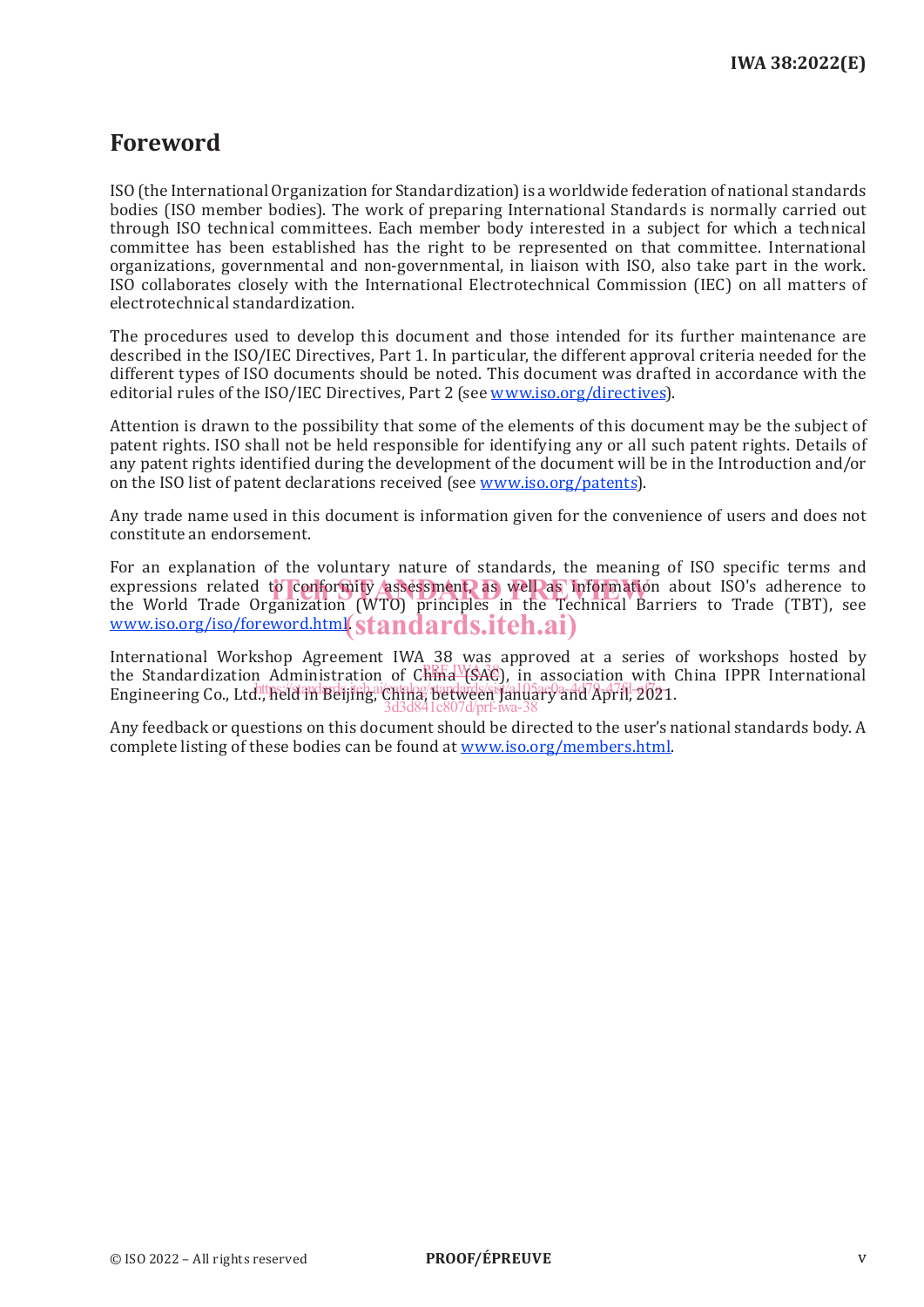# **Foreword**

ISO (the International Organization for Standardization) is a worldwide federation of national standards bodies (ISO member bodies). The work of preparing International Standards is normally carried out through ISO technical committees. Each member body interested in a subject for which a technical committee has been established has the right to be represented on that committee. International organizations, governmental and non-governmental, in liaison with ISO, also take part in the work. ISO collaborates closely with the International Electrotechnical Commission (IEC) on all matters of electrotechnical standardization.

The procedures used to develop this document and those intended for its further maintenance are described in the ISO/IEC Directives, Part 1. In particular, the different approval criteria needed for the different types of ISO documents should be noted. This document was drafted in accordance with the editorial rules of the ISO/IEC Directives, Part 2 (see www.iso.org/directives).

Attention is drawn to the possibility that some of the elements of this document may be the subject of patent rights. ISO shall not be held responsible for identifying any or all such patent rights. Details of any patent rights identified during the development of the document will be in the Introduction and/or on the ISO list of patent declarations received (see www.iso.org/patents).

Any trade name used in this document is information given for the convenience of users and does not constitute an endorsement.

For an explanation of the voluntary nature of standards, the meaning of ISO specific terms and expressions related to conformity assessment, as well as information about ISO's adherence to the World Trade Organization (WTO) principles in the Technical Barriers to Trade (TBT), see www.iso.org/iso/foreword.html(standards.iteh.ai)

International Workshop Agreement IWA 38 was approved at a series of workshops hosted by the Standardization Administration of China (SAC), in association with China IPPR International the Standardization of China (SAC), in association with China IPPR International ens sumal disable that the standard in the standard of the standard and April, 2021. 3d3d841c807d/prf-iwa-38

Any feedback or questions on this document should be directed to the user's national standards body. A complete listing of these bodies can be found at www.iso.org/members.html.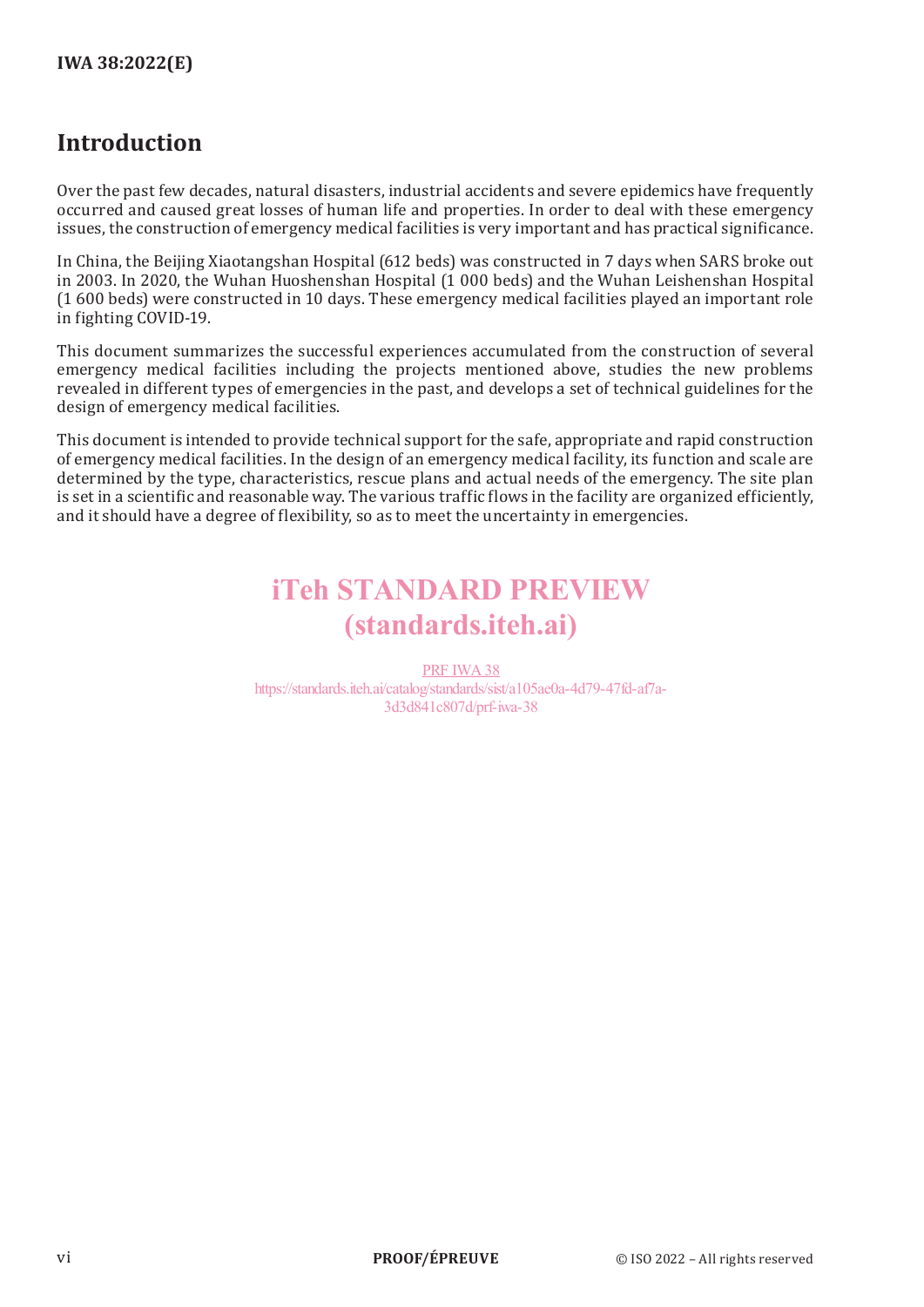# **Introduction**

Over the past few decades, natural disasters, industrial accidents and severe epidemics have frequently occurred and caused great losses of human life and properties. In order to deal with these emergency issues, the construction of emergency medical facilities is very important and has practical significance.

In China, the Beijing Xiaotangshan Hospital (612 beds) was constructed in 7 days when SARS broke out in 2003. In 2020, the Wuhan Huoshenshan Hospital (1 000 beds) and the Wuhan Leishenshan Hospital (1 600 beds) were constructed in 10 days. These emergency medical facilities played an important role in fighting COVID-19.

This document summarizes the successful experiences accumulated from the construction of several emergency medical facilities including the projects mentioned above, studies the new problems revealed in different types of emergencies in the past, and develops a set of technical guidelines for the design of emergency medical facilities.

This document is intended to provide technical support for the safe, appropriate and rapid construction of emergency medical facilities. In the design of an emergency medical facility, its function and scale are determined by the type, characteristics, rescue plans and actual needs of the emergency. The site plan is set in a scientific and reasonable way. The various traffic flows in the facility are organized efficiently, and it should have a degree of flexibility, so as to meet the uncertainty in emergencies.

# iTeh STANDARD PREVIEW (standards.iteh.ai)

PRF IWA38 https://standards.iteh.ai/catalog/standards/sist/a105ae0a-4d79-47fd-af7a-3d3d841c807d/prf-iwa-38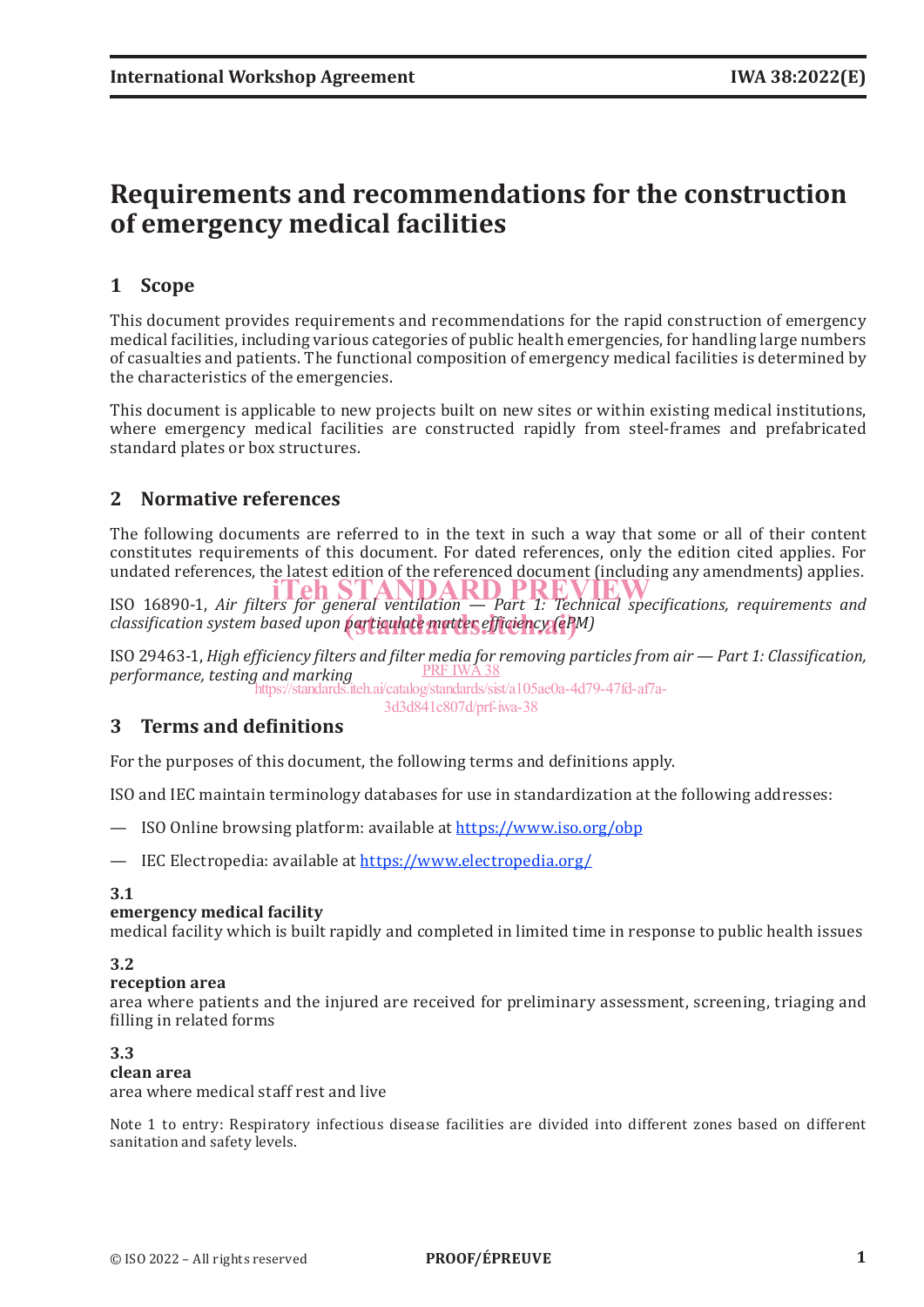# **Requirements and recommendations for the construction of emergency medical facilities**

# **1 Scope**

This document provides requirements and recommendations for the rapid construction of emergency medical facilities, including various categories of public health emergencies, for handling large numbers of casualties and patients. The functional composition of emergency medical facilities is determined by the characteristics of the emergencies.

This document is applicable to new projects built on new sites or within existing medical institutions, where emergency medical facilities are constructed rapidly from steel-frames and prefabricated standard plates or box structures.

# **2 Normative references**

The following documents are referred to in the text in such a way that some or all of their content constitutes requirements of this document. For dated references, only the edition cited applies. For undated references, the latest edition of the referenced document (including any amendments) applies.

ISO 16890-1, *Air filters for general ventilation — Part 1: Technical specifications, requirements and*  iTeh STANDARD PREVIEW **classification system based upon particulate matter efficiency (ePM)** 

ISO 29463-1, *High efficiency filters and filter media for removing particles from air — Part 1: Classification, performance, testing and marking* PRF IWA 38

https://standards.iteh.ai/catalog/standards/sist/a105ae0a-4d79-47fd-af7a-

#### 3d3d841c807d/prf-iwa-38

# **3 Terms and definitions**

For the purposes of this document, the following terms and definitions apply.

ISO and IEC maintain terminology databases for use in standardization at the following addresses:

— ISO Online browsing platform: available at https://www.iso.org/obp

— IEC Electropedia: available at https://www.electropedia.org/

#### **3.1**

## **emergency medical facility**

medical facility which is built rapidly and completed in limited time in response to public health issues

#### **3.2**

#### **reception area**

area where patients and the injured are received for preliminary assessment, screening, triaging and filling in related forms

#### **3.3**

#### **clean area**

area where medical staff rest and live

Note 1 to entry: Respiratory infectious disease facilities are divided into different zones based on different sanitation and safety levels.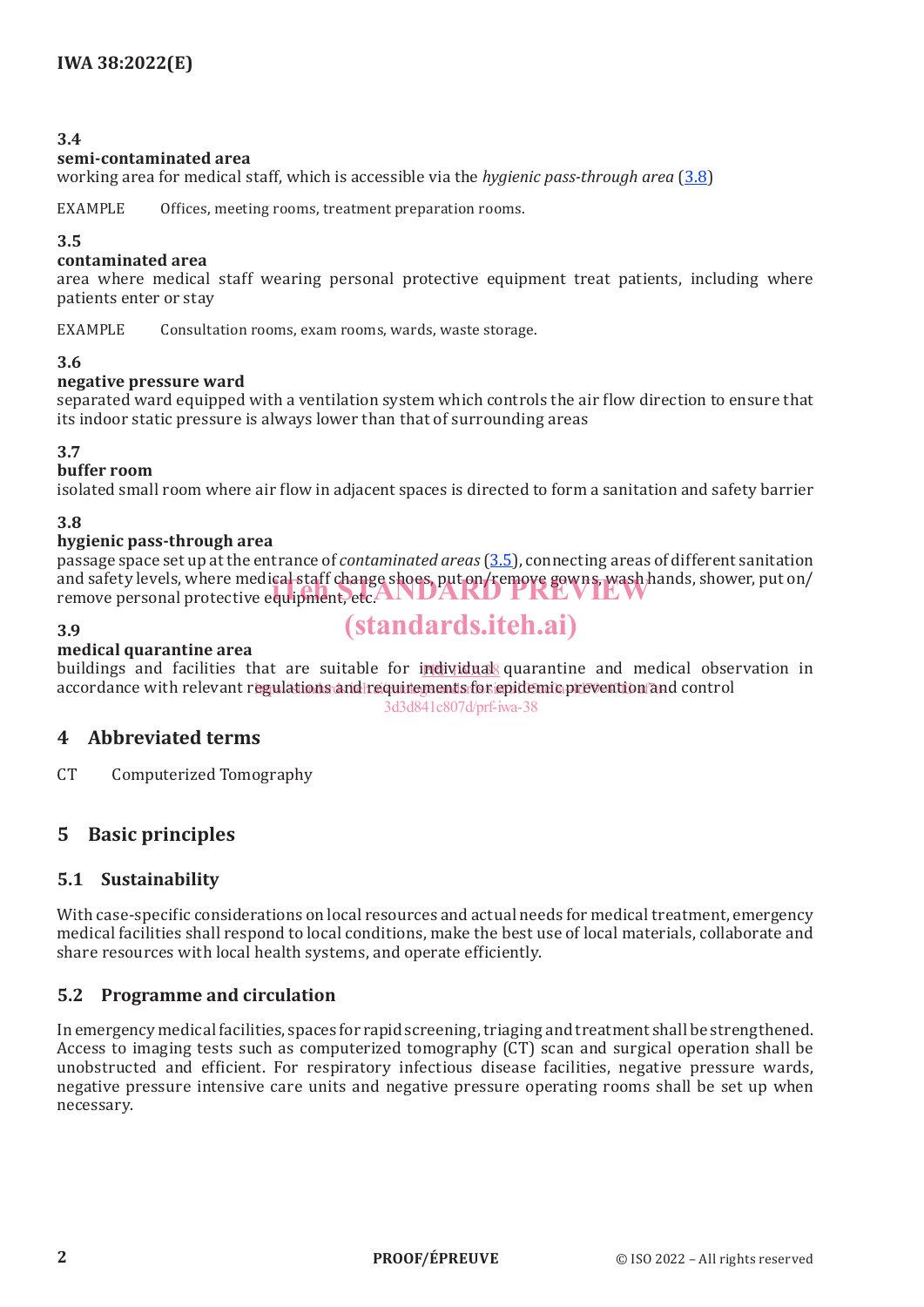#### **3.4**

#### **semi-contaminated area**

working area for medical staff, which is accessible via the *hygienic pass-through area* (3.8)

EXAMPLE Offices, meeting rooms, treatment preparation rooms.

#### **3.5**

#### **contaminated area**

area where medical staff wearing personal protective equipment treat patients, including where patients enter or stay

EXAMPLE Consultation rooms, exam rooms, wards, waste storage.

#### **3.6**

#### **negative pressure ward**

separated ward equipped with a ventilation system which controls the air flow direction to ensure that its indoor static pressure is always lower than that of surrounding areas

#### **3.7**

#### **buffer room**

isolated small room where air flow in adjacent spaces is directed to form a sanitation and safety barrier

#### **3.8**

#### **hygienic pass-through area**

passage space set up at the entrance of *contaminated areas* (3.5), connecting areas of different sanitation and safety levels, where medical staff change shoes, put on/remove gowns, wash hands, shower, put on/ and safety levels, where medical staff change shoes, put on Fremove gowns, wash hai<br>remove personal protective equipment, etc.

#### **3.9**

# (standards.iteh.ai)

#### **medical quarantine area**

buildings and facilities that are suitable for individuals quarantine and medical observation in accordance with relevant r<mark>egulations and requinements for epidemic prevention an</mark>d control 3d3d841c807d/prf-iwa-38

# **4 Abbreviated terms**

CT Computerized Tomography

# **5 Basic principles**

## **5.1 Sustainability**

With case-specific considerations on local resources and actual needs for medical treatment, emergency medical facilities shall respond to local conditions, make the best use of local materials, collaborate and share resources with local health systems, and operate efficiently.

## **5.2 Programme and circulation**

In emergency medical facilities, spaces for rapid screening, triaging and treatment shall be strengthened. Access to imaging tests such as computerized tomography (CT) scan and surgical operation shall be unobstructed and efficient. For respiratory infectious disease facilities, negative pressure wards, negative pressure intensive care units and negative pressure operating rooms shall be set up when necessary.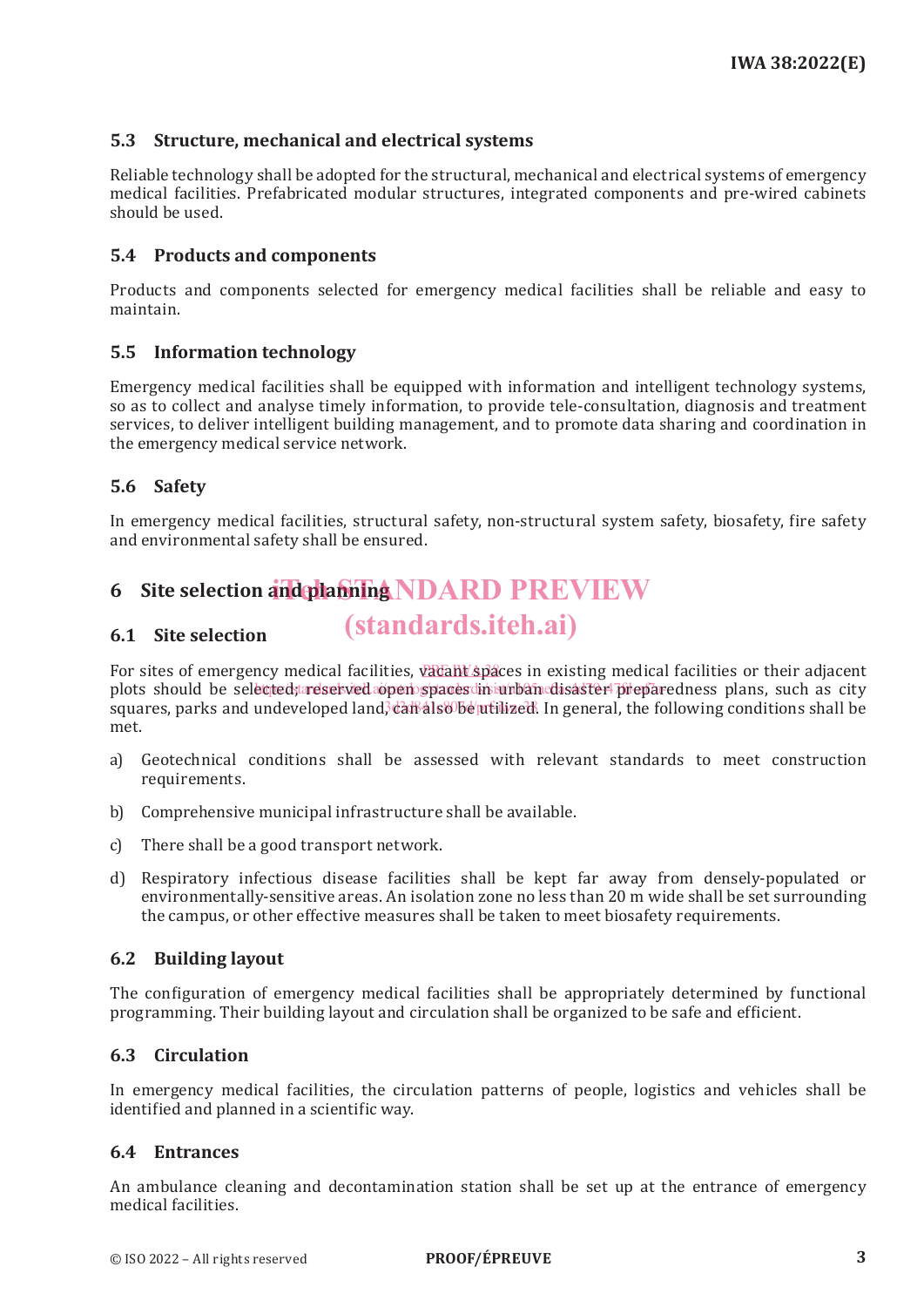# **5.3 Structure, mechanical and electrical systems**

Reliable technology shall be adopted for the structural, mechanical and electrical systems of emergency medical facilities. Prefabricated modular structures, integrated components and pre-wired cabinets should be used.

# **5.4 Products and components**

Products and components selected for emergency medical facilities shall be reliable and easy to maintain.

# **5.5 Information technology**

Emergency medical facilities shall be equipped with information and intelligent technology systems, so as to collect and analyse timely information, to provide tele-consultation, diagnosis and treatment services, to deliver intelligent building management, and to promote data sharing and coordination in the emergency medical service network.

# **5.6 Safety**

In emergency medical facilities, structural safety, non-structural system safety, biosafety, fire safety and environmental safety shall be ensured.

# **6** Site selection and planning NDARD PREVIEW

#### **6.1 Site selection** (standards.iteh.ai)

For sites of emergency medical facilities, vacant spaces in existing medical facilities or their adjacent plots should be selected; reserved open spaces in urban disaster preparedness plans, such as city squares, parks and undeveloped land<del>, call als Obe utilized</del>. In general, the following conditions shall be met.

- a) Geotechnical conditions shall be assessed with relevant standards to meet construction requirements.
- b) Comprehensive municipal infrastructure shall be available.
- c) There shall be a good transport network.
- d) Respiratory infectious disease facilities shall be kept far away from densely-populated or environmentally-sensitive areas. An isolation zone no less than 20 m wide shall be set surrounding the campus, or other effective measures shall be taken to meet biosafety requirements.

# **6.2 Building layout**

The configuration of emergency medical facilities shall be appropriately determined by functional programming. Their building layout and circulation shall be organized to be safe and efficient.

## **6.3 Circulation**

In emergency medical facilities, the circulation patterns of people, logistics and vehicles shall be identified and planned in a scientific way.

## **6.4 Entrances**

An ambulance cleaning and decontamination station shall be set up at the entrance of emergency medical facilities.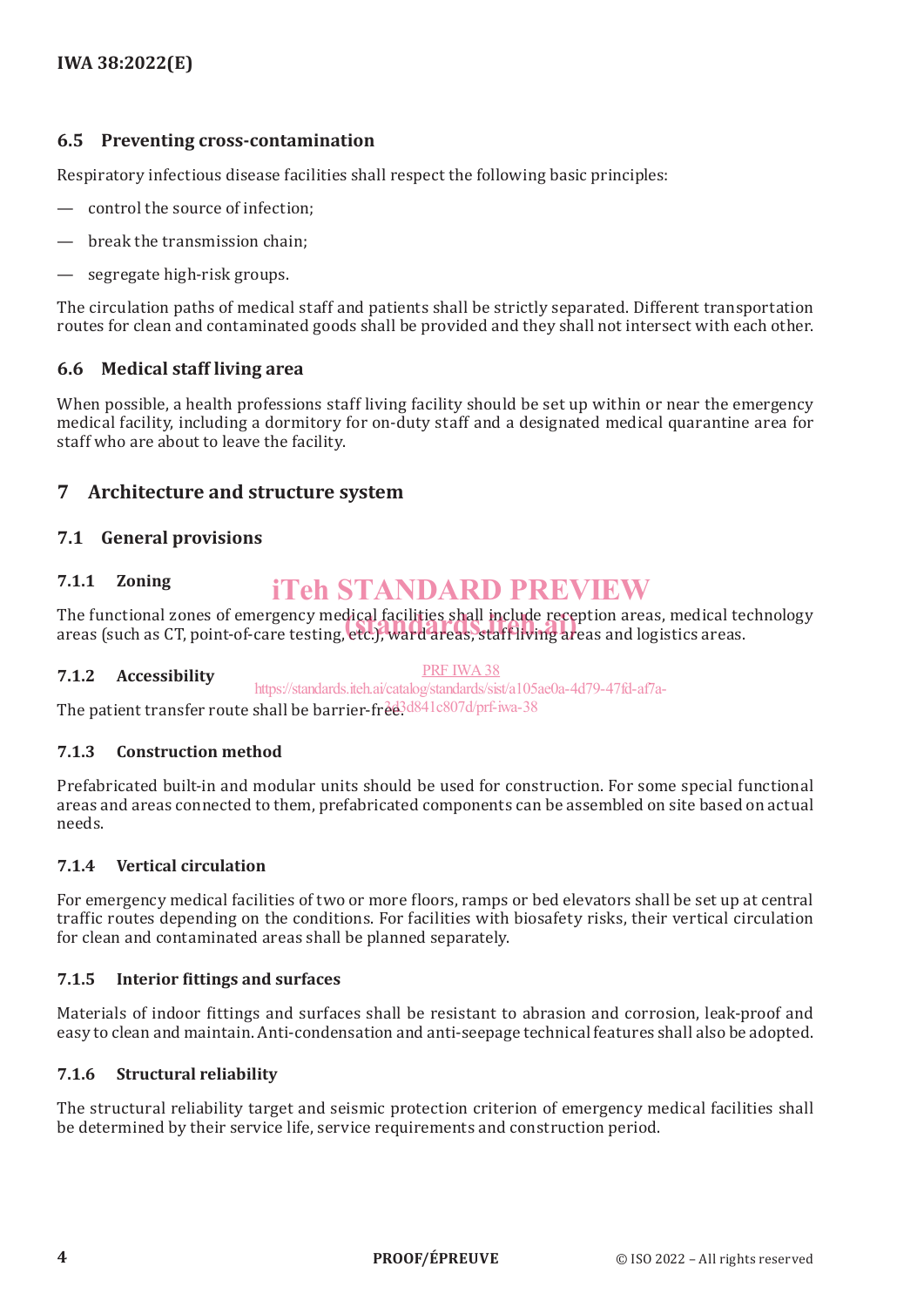# **6.5 Preventing cross-contamination**

Respiratory infectious disease facilities shall respect the following basic principles:

- control the source of infection;
- break the transmission chain;
- segregate high-risk groups.

The circulation paths of medical staff and patients shall be strictly separated. Different transportation routes for clean and contaminated goods shall be provided and they shall not intersect with each other.

# **6.6 Medical staff living area**

When possible, a health professions staff living facility should be set up within or near the emergency medical facility, including a dormitory for on-duty staff and a designated medical quarantine area for staff who are about to leave the facility.

# **7 Architecture and structure system**

## **7.1 General provisions**

#### **7.1.1 Zoning** iTeh STANDARD PREVIEW

The functional zones of emergency medical facilities shall include reception areas, medical technology The functional zones of emergency medical facilities shall include reception areas, medical te<br>areas (such as CT, point-of-care testing, etc.), ward areas, staff living areas and logistics areas.

#### **7.1.2 Accessibility**

PRF IWA38

The patient transfer route shall be barrier-free3d841c807d/prf-iwa-38 https://standards.iteh.ai/catalog/standards/sist/a105ae0a-4d79-47fd-af7a-

# **7.1.3 Construction method**

Prefabricated built-in and modular units should be used for construction. For some special functional areas and areas connected to them, prefabricated components can be assembled on site based on actual needs.

#### **7.1.4 Vertical circulation**

For emergency medical facilities of two or more floors, ramps or bed elevators shall be set up at central traffic routes depending on the conditions. For facilities with biosafety risks, their vertical circulation for clean and contaminated areas shall be planned separately.

#### **7.1.5 Interior fittings and surfaces**

Materials of indoor fittings and surfaces shall be resistant to abrasion and corrosion, leak-proof and easy to clean and maintain. Anti-condensation and anti-seepage technical features shall also be adopted.

#### **7.1.6 Structural reliability**

The structural reliability target and seismic protection criterion of emergency medical facilities shall be determined by their service life, service requirements and construction period.